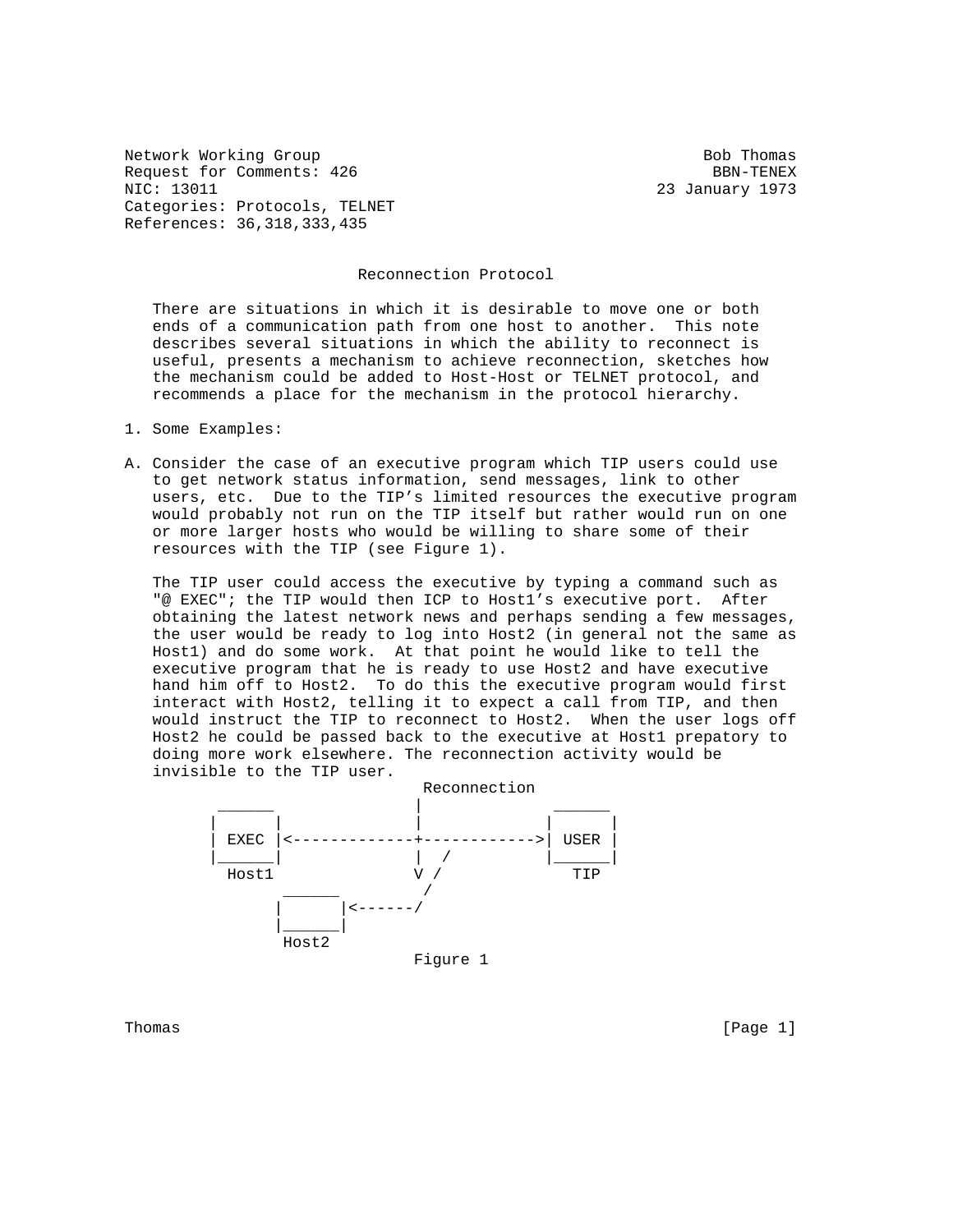Network Working Group Bob Thomas Request for Comments: 426 BBN-TENEX NIC: 13011 23 January 1973 Categories: Protocols, TELNET References: 36,318,333,435

## Reconnection Protocol

 There are situations in which it is desirable to move one or both ends of a communication path from one host to another. This note describes several situations in which the ability to reconnect is useful, presents a mechanism to achieve reconnection, sketches how the mechanism could be added to Host-Host or TELNET protocol, and recommends a place for the mechanism in the protocol hierarchy.

- 1. Some Examples:
- A. Consider the case of an executive program which TIP users could use to get network status information, send messages, link to other users, etc. Due to the TIP's limited resources the executive program would probably not run on the TIP itself but rather would run on one or more larger hosts who would be willing to share some of their resources with the TIP (see Figure 1).

 The TIP user could access the executive by typing a command such as "@ EXEC"; the TIP would then ICP to Host1's executive port. After obtaining the latest network news and perhaps sending a few messages, the user would be ready to log into Host2 (in general not the same as Host1) and do some work. At that point he would like to tell the executive program that he is ready to use Host2 and have executive hand him off to Host2. To do this the executive program would first interact with Host2, telling it to expect a call from TIP, and then would instruct the TIP to reconnect to Host2. When the user logs off Host2 he could be passed back to the executive at Host1 prepatory to doing more work elsewhere. The reconnection activity would be invisible to the TIP user.



Thomas [Page 1]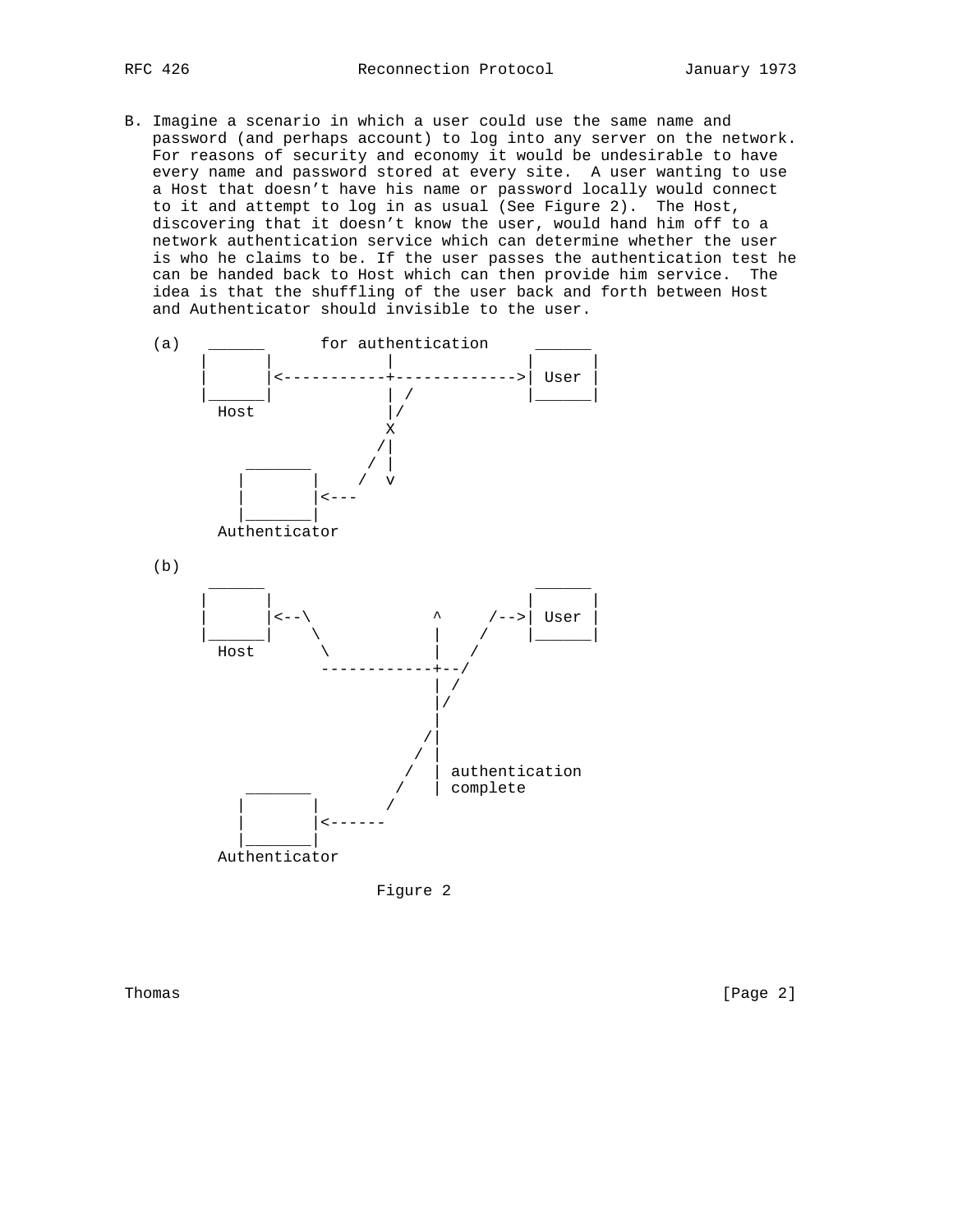B. Imagine a scenario in which a user could use the same name and password (and perhaps account) to log into any server on the network. For reasons of security and economy it would be undesirable to have every name and password stored at every site. A user wanting to use a Host that doesn't have his name or password locally would connect to it and attempt to log in as usual (See Figure 2). The Host, discovering that it doesn't know the user, would hand him off to a network authentication service which can determine whether the user is who he claims to be. If the user passes the authentication test he can be handed back to Host which can then provide him service. The idea is that the shuffling of the user back and forth between Host and Authenticator should invisible to the user.





Thomas [Page 2]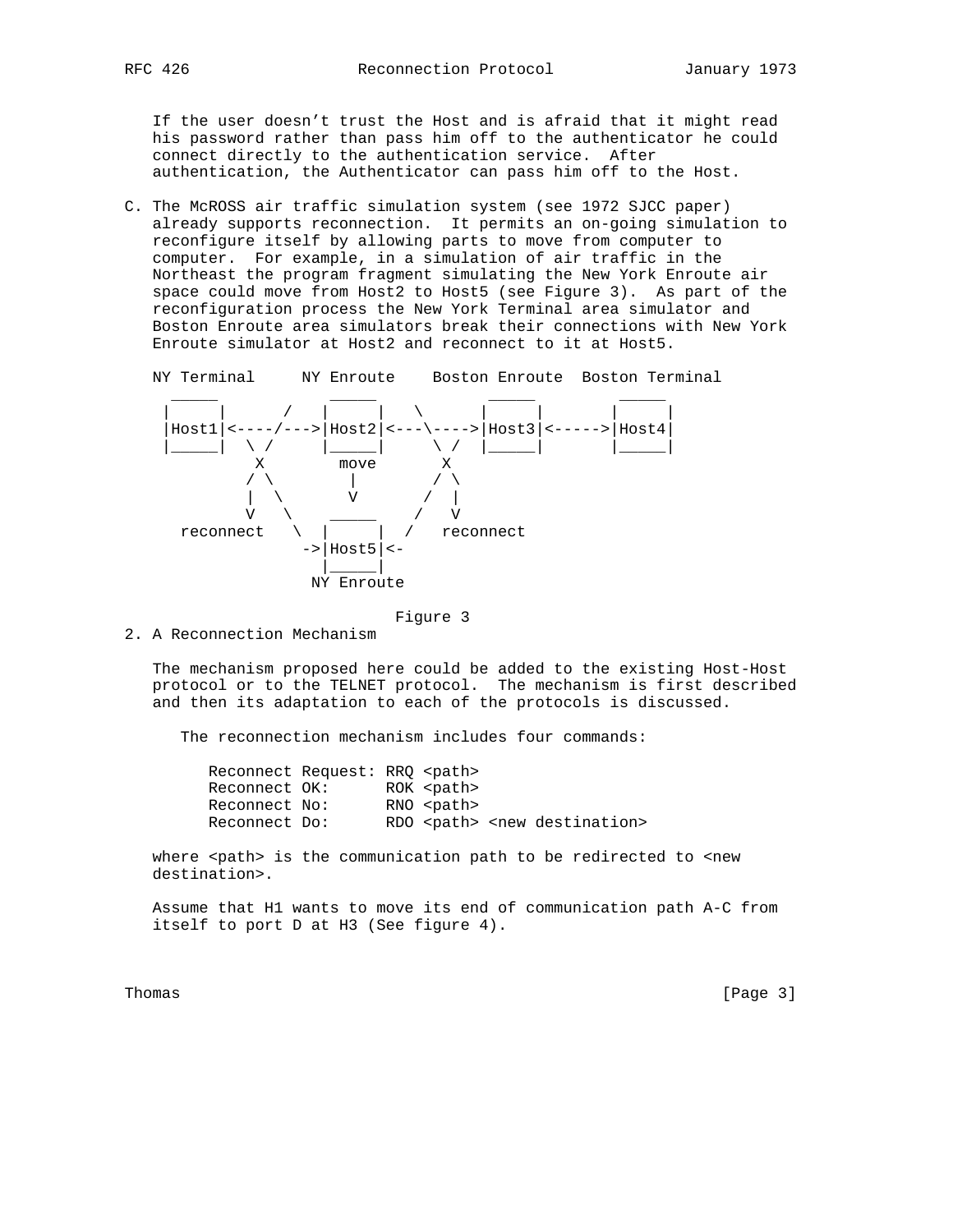If the user doesn't trust the Host and is afraid that it might read his password rather than pass him off to the authenticator he could connect directly to the authentication service. After authentication, the Authenticator can pass him off to the Host.

C. The McROSS air traffic simulation system (see 1972 SJCC paper) already supports reconnection. It permits an on-going simulation to reconfigure itself by allowing parts to move from computer to computer. For example, in a simulation of air traffic in the Northeast the program fragment simulating the New York Enroute air space could move from Host2 to Host5 (see Figure 3). As part of the reconfiguration process the New York Terminal area simulator and Boston Enroute area simulators break their connections with New York Enroute simulator at Host2 and reconnect to it at Host5.

NY Terminal NY Enroute Boston Enroute Boston Terminal



Figure 3

2. A Reconnection Mechanism

 The mechanism proposed here could be added to the existing Host-Host protocol or to the TELNET protocol. The mechanism is first described and then its adaptation to each of the protocols is discussed.

The reconnection mechanism includes four commands:

|               | Reconnect Request: RRO <path></path> |                   |                                              |  |
|---------------|--------------------------------------|-------------------|----------------------------------------------|--|
| Reconnect OK: |                                      | ROK <path></path> |                                              |  |
| Reconnect No: |                                      | RNO <path></path> |                                              |  |
| Reconnect Do: |                                      |                   | RDO <path> <new destination=""></new></path> |  |

where <path> is the communication path to be redirected to <new destination>.

 Assume that H1 wants to move its end of communication path A-C from itself to port D at H3 (See figure 4).

Thomas [Page 3]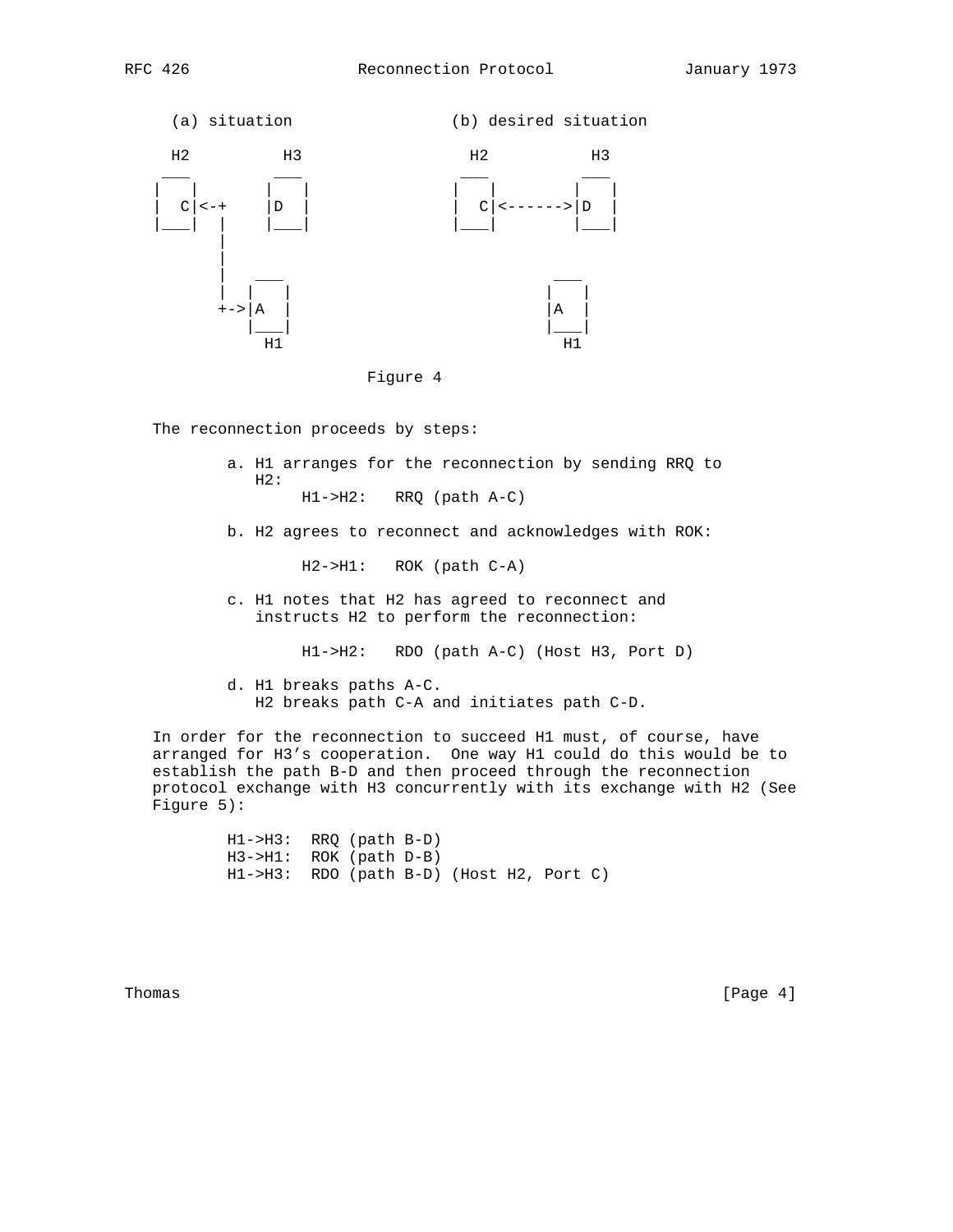





The reconnection proceeds by steps:

- a. H1 arranges for the reconnection by sending RRQ to  $H2:$ H1->H2: RRQ (path A-C)
- b. H2 agrees to reconnect and acknowledges with ROK:

H2->H1: ROK (path C-A)

 c. H1 notes that H2 has agreed to reconnect and instructs H2 to perform the reconnection:

H1->H2: RDO (path A-C) (Host H3, Port D)

 d. H1 breaks paths A-C. H2 breaks path C-A and initiates path C-D.

 In order for the reconnection to succeed H1 must, of course, have arranged for H3's cooperation. One way H1 could do this would be to establish the path B-D and then proceed through the reconnection protocol exchange with H3 concurrently with its exchange with H2 (See Figure 5):

> H1->H3: RRQ (path B-D) H3->H1: ROK (path D-B) H1->H3: RDO (path B-D) (Host H2, Port C)

Thomas [Page 4]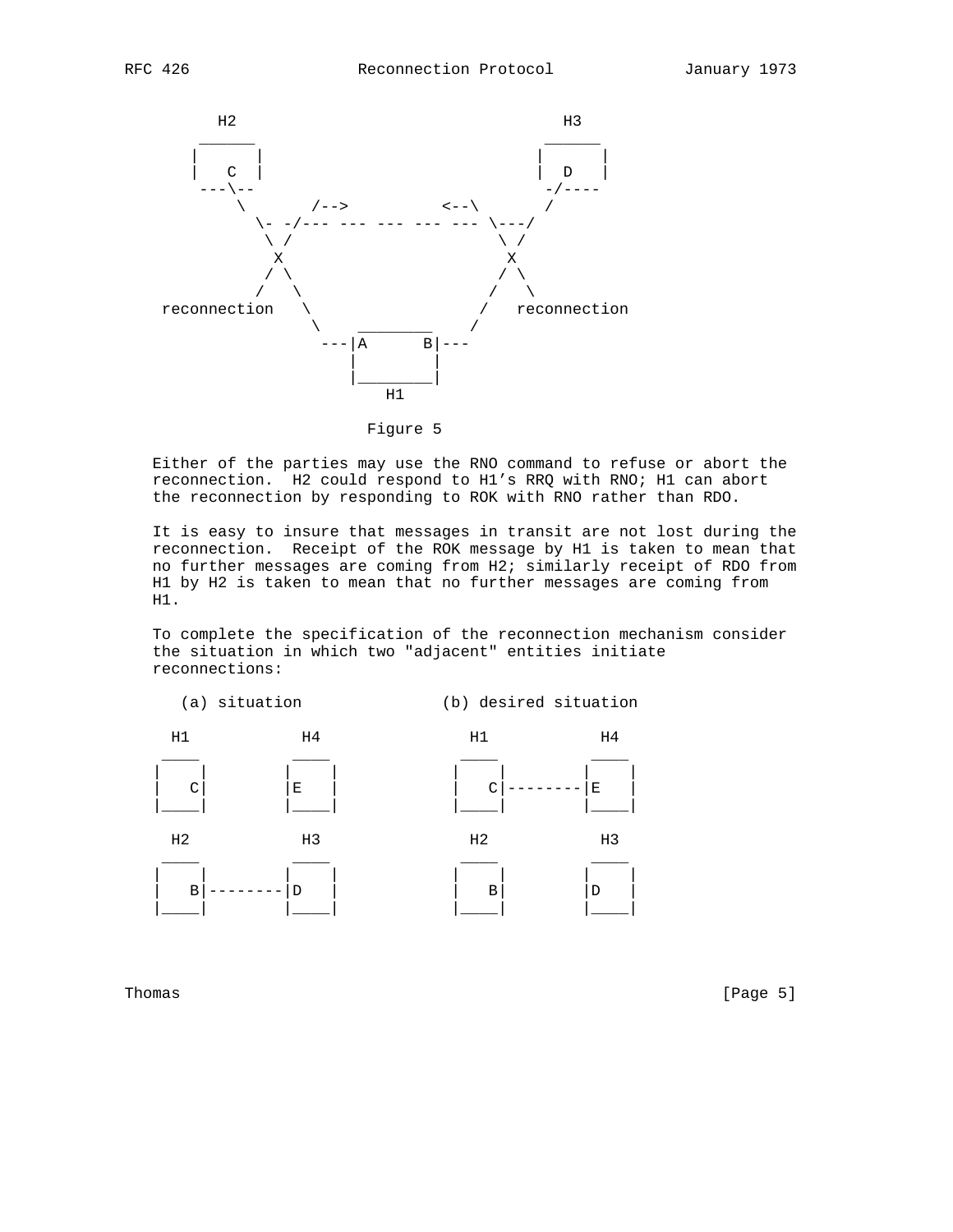



Figure 5

 Either of the parties may use the RNO command to refuse or abort the reconnection. H2 could respond to H1's RRQ with RNO; H1 can abort the reconnection by responding to ROK with RNO rather than RDO.

 It is easy to insure that messages in transit are not lost during the reconnection. Receipt of the ROK message by H1 is taken to mean that no further messages are coming from H2; similarly receipt of RDO from H1 by H2 is taken to mean that no further messages are coming from H1.

 To complete the specification of the reconnection mechanism consider the situation in which two "adjacent" entities initiate reconnections:



Thomas [Page 5]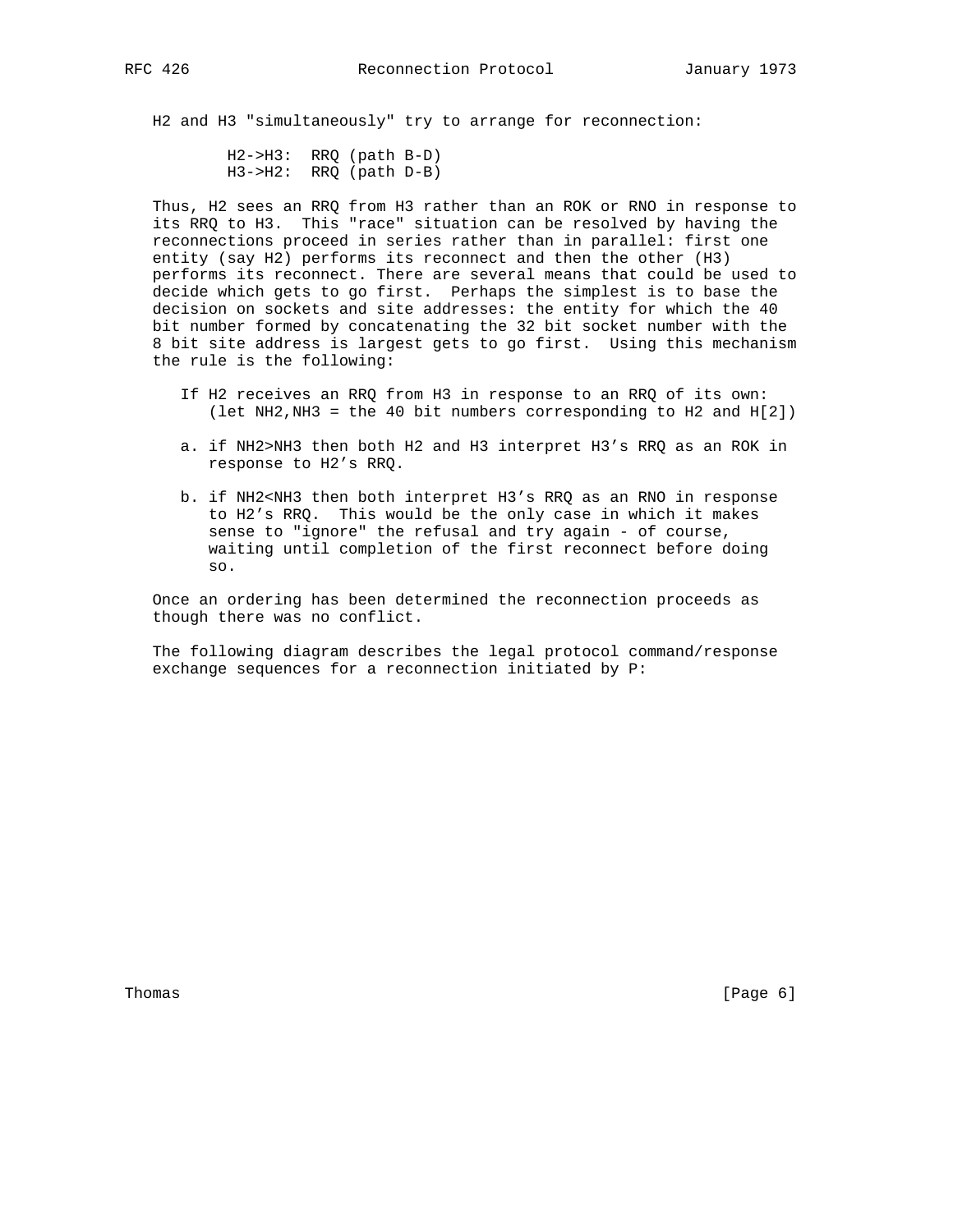H2 and H3 "simultaneously" try to arrange for reconnection:

 H2->H3: RRQ (path B-D)  $H3->H2$ : RRQ (path D-B)

 Thus, H2 sees an RRQ from H3 rather than an ROK or RNO in response to its RRQ to H3. This "race" situation can be resolved by having the reconnections proceed in series rather than in parallel: first one entity (say H2) performs its reconnect and then the other (H3) performs its reconnect. There are several means that could be used to decide which gets to go first. Perhaps the simplest is to base the decision on sockets and site addresses: the entity for which the 40 bit number formed by concatenating the 32 bit socket number with the 8 bit site address is largest gets to go first. Using this mechanism the rule is the following:

- If H2 receives an RRQ from H3 in response to an RRQ of its own: (let NH2,NH3 = the 40 bit numbers corresponding to H2 and H[2])
- a. if NH2>NH3 then both H2 and H3 interpret H3's RRQ as an ROK in response to H2's RRQ.
- b. if NH2<NH3 then both interpret H3's RRQ as an RNO in response to H2's RRQ. This would be the only case in which it makes sense to "ignore" the refusal and try again - of course, waiting until completion of the first reconnect before doing so.

 Once an ordering has been determined the reconnection proceeds as though there was no conflict.

 The following diagram describes the legal protocol command/response exchange sequences for a reconnection initiated by P:

Thomas [Page 6]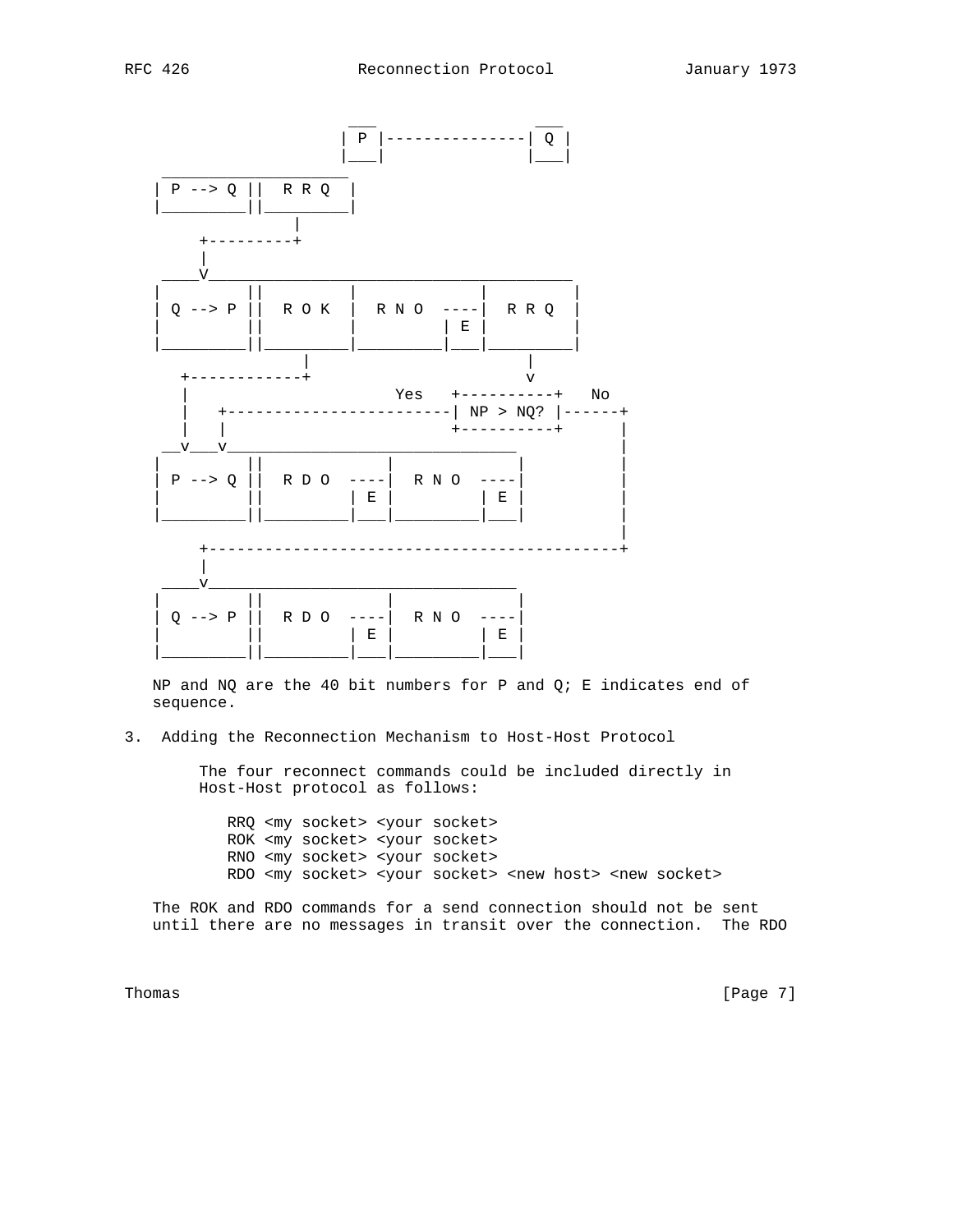

NP and NQ are the 40 bit numbers for P and  $Q$ ; E indicates end of sequence.

3. Adding the Reconnection Mechanism to Host-Host Protocol

 The four reconnect commands could be included directly in Host-Host protocol as follows:

 RRQ <my socket> <your socket> ROK <my socket> <your socket> RNO <my socket> <your socket> RDO <my socket> <your socket> <new host> <new socket>

 The ROK and RDO commands for a send connection should not be sent until there are no messages in transit over the connection. The RDO

Thomas [Page 7] [Page 7] [Page 7] [Page 7] [Page 7] [Page 7] [Page 7] [Page 7] [Page 7] [Page 7] [Page 7] [Page 7] [Page 7] [Page 7] [Page 7] [Page 7] [Page 7] [Page 7] [Page 7] [Page 7] [Page 7] [Page 7] [Page 7] [Page 7]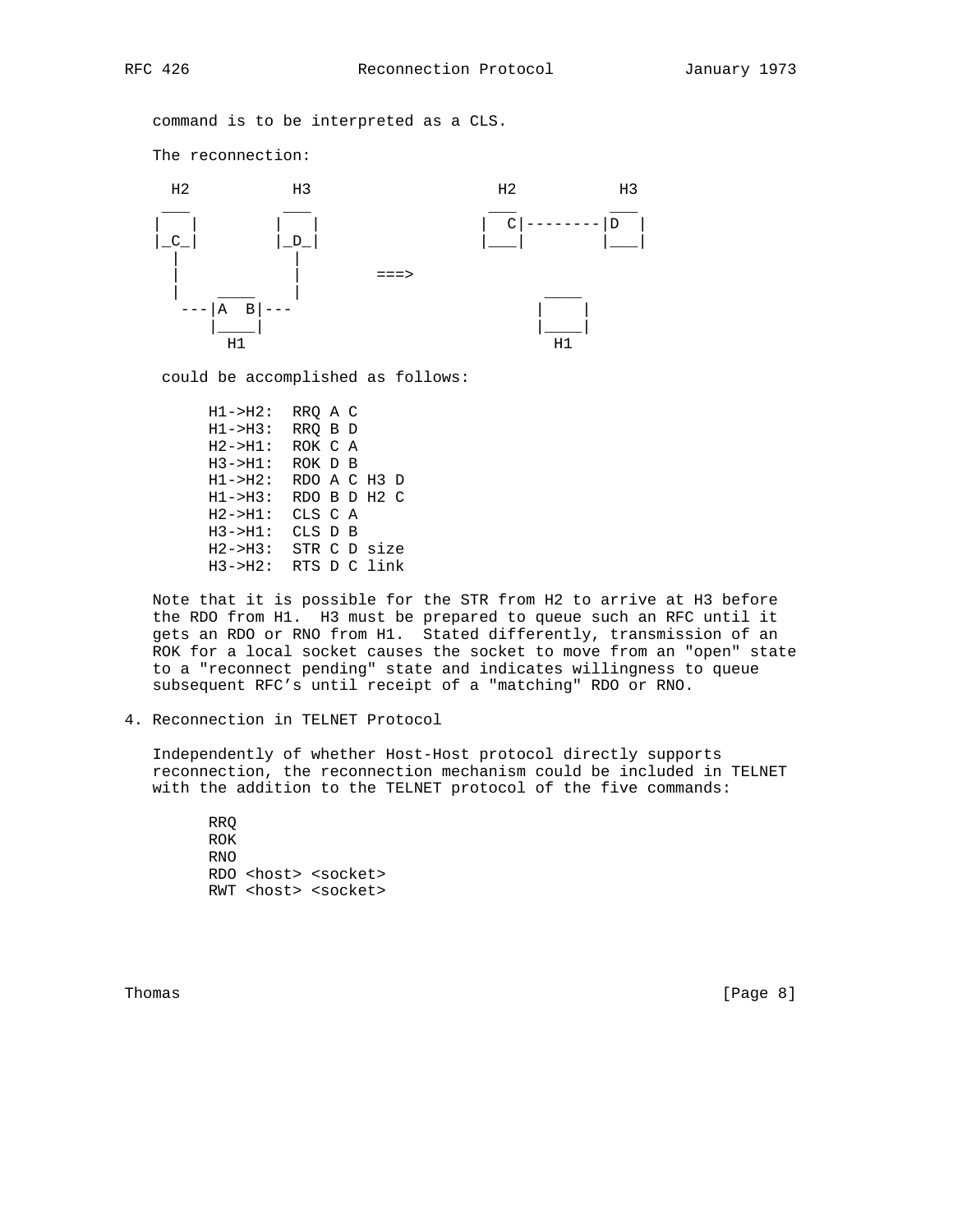command is to be interpreted as a CLS.

The reconnection:



could be accomplished as follows:

 H1->H2: RRQ A C H1->H3: RRQ B D H2->H1: ROK C A H3->H1: ROK D B H1->H2: RDO A C H3 D H1->H3: RDO B D H2 C H2->H1: CLS C A H3->H1: CLS D B H2->H3: STR C D size H3->H2: RTS D C link

 Note that it is possible for the STR from H2 to arrive at H3 before the RDO from H1. H3 must be prepared to queue such an RFC until it gets an RDO or RNO from H1. Stated differently, transmission of an ROK for a local socket causes the socket to move from an "open" state to a "reconnect pending" state and indicates willingness to queue subsequent RFC's until receipt of a "matching" RDO or RNO.

4. Reconnection in TELNET Protocol

 Independently of whether Host-Host protocol directly supports reconnection, the reconnection mechanism could be included in TELNET with the addition to the TELNET protocol of the five commands:

 RRQ ROK RNO RDO <host> <socket> RWT <host> <socket>

Thomas [Page 8]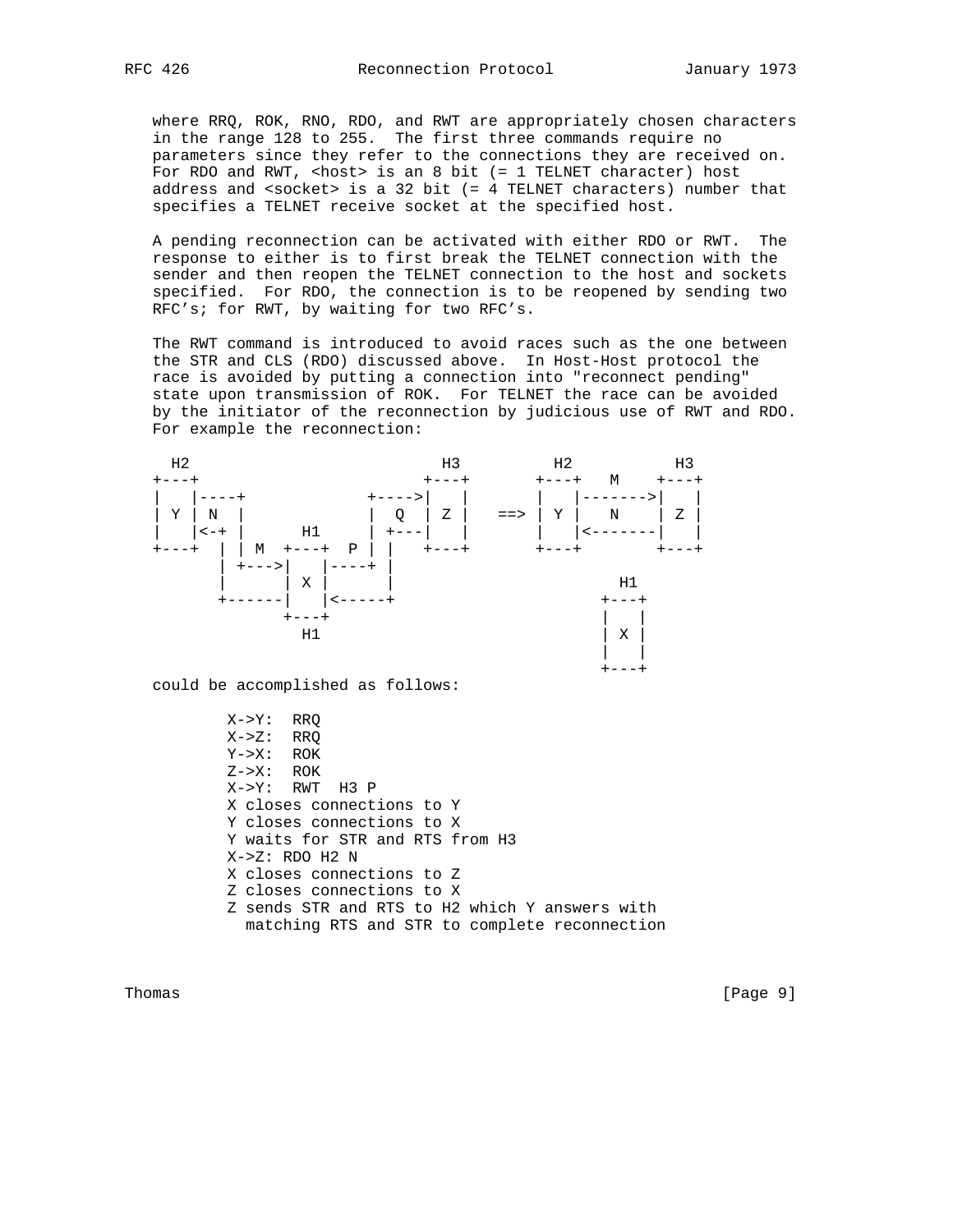where RRQ, ROK, RNO, RDO, and RWT are appropriately chosen characters in the range 128 to 255. The first three commands require no parameters since they refer to the connections they are received on. For RDO and RWT, <host> is an 8 bit (= 1 TELNET character) host address and <socket> is a 32 bit (= 4 TELNET characters) number that specifies a TELNET receive socket at the specified host.

 A pending reconnection can be activated with either RDO or RWT. The response to either is to first break the TELNET connection with the sender and then reopen the TELNET connection to the host and sockets specified. For RDO, the connection is to be reopened by sending two RFC's; for RWT, by waiting for two RFC's.

 The RWT command is introduced to avoid races such as the one between the STR and CLS (RDO) discussed above. In Host-Host protocol the race is avoided by putting a connection into "reconnect pending" state upon transmission of ROK. For TELNET the race can be avoided by the initiator of the reconnection by judicious use of RWT and RDO. For example the reconnection:



could be accomplished as follows:

 X->Y: RRQ  $X->Z$ : RRQ Y->X: ROK  $Z->X$ : ROK X->Y: RWT H3 P X closes connections to Y Y closes connections to X Y waits for STR and RTS from H3 X->Z: RDO H2 N X closes connections to Z Z closes connections to X Z sends STR and RTS to H2 which Y answers with matching RTS and STR to complete reconnection

Thomas [Page 9]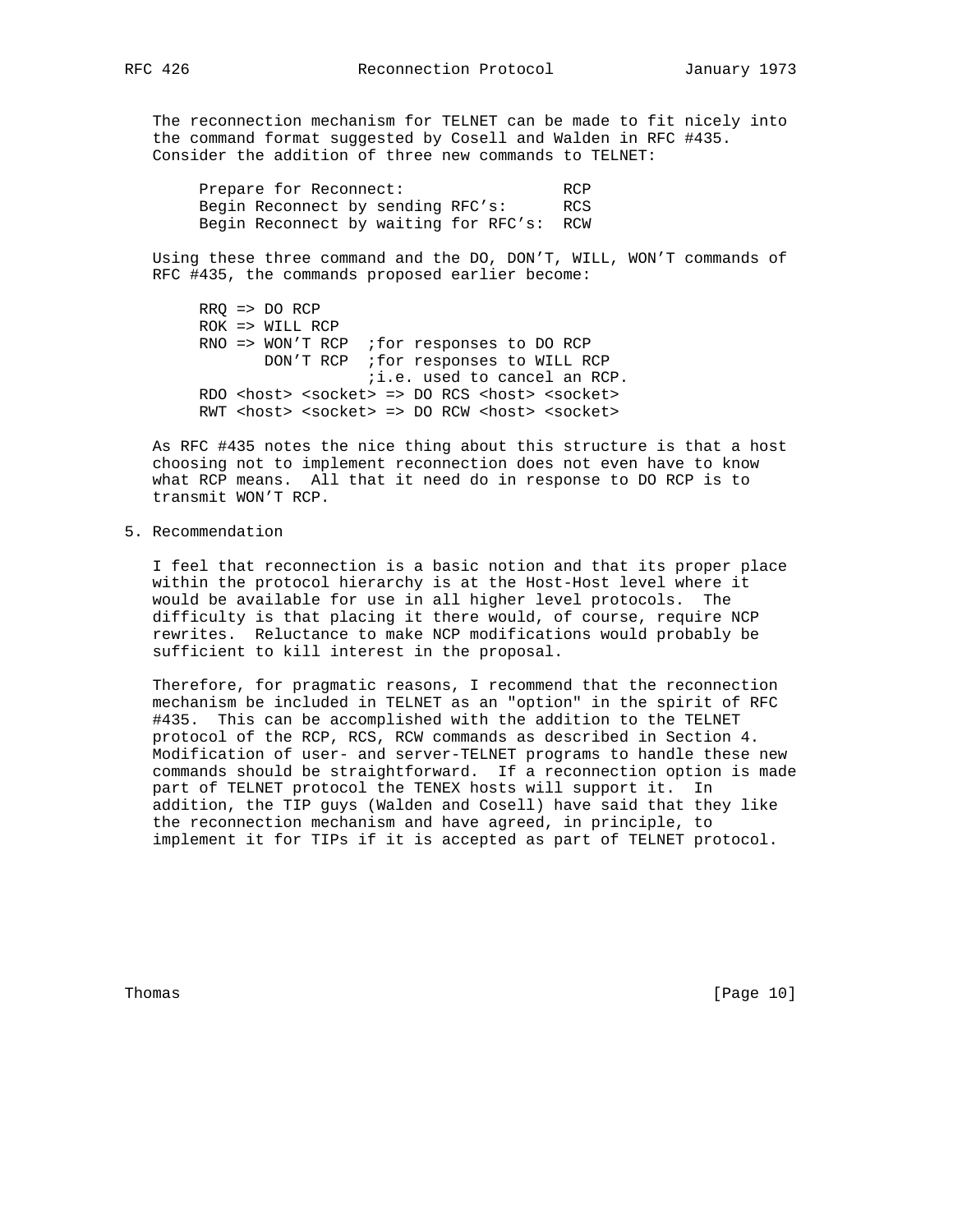The reconnection mechanism for TELNET can be made to fit nicely into the command format suggested by Cosell and Walden in RFC #435. Consider the addition of three new commands to TELNET:

Prepare for Reconnect: RCP Begin Reconnect by sending RFC's: RCS Begin Reconnect by waiting for RFC's: RCW

 Using these three command and the DO, DON'T, WILL, WON'T commands of RFC #435, the commands proposed earlier become:

 RRQ => DO RCP ROK => WILL RCP RNO => WON'T RCP ;for responses to DO RCP DON'T RCP ; for responses to WILL RCP ;i.e. used to cancel an RCP. RDO <host> <socket> => DO RCS <host> <socket> RWT <host> <socket> => DO RCW <host> <socket>

 As RFC #435 notes the nice thing about this structure is that a host choosing not to implement reconnection does not even have to know what RCP means. All that it need do in response to DO RCP is to transmit WON'T RCP.

5. Recommendation

 I feel that reconnection is a basic notion and that its proper place within the protocol hierarchy is at the Host-Host level where it would be available for use in all higher level protocols. The difficulty is that placing it there would, of course, require NCP rewrites. Reluctance to make NCP modifications would probably be sufficient to kill interest in the proposal.

 Therefore, for pragmatic reasons, I recommend that the reconnection mechanism be included in TELNET as an "option" in the spirit of RFC #435. This can be accomplished with the addition to the TELNET protocol of the RCP, RCS, RCW commands as described in Section 4. Modification of user- and server-TELNET programs to handle these new commands should be straightforward. If a reconnection option is made part of TELNET protocol the TENEX hosts will support it. In addition, the TIP guys (Walden and Cosell) have said that they like the reconnection mechanism and have agreed, in principle, to implement it for TIPs if it is accepted as part of TELNET protocol.

Thomas [Page 10]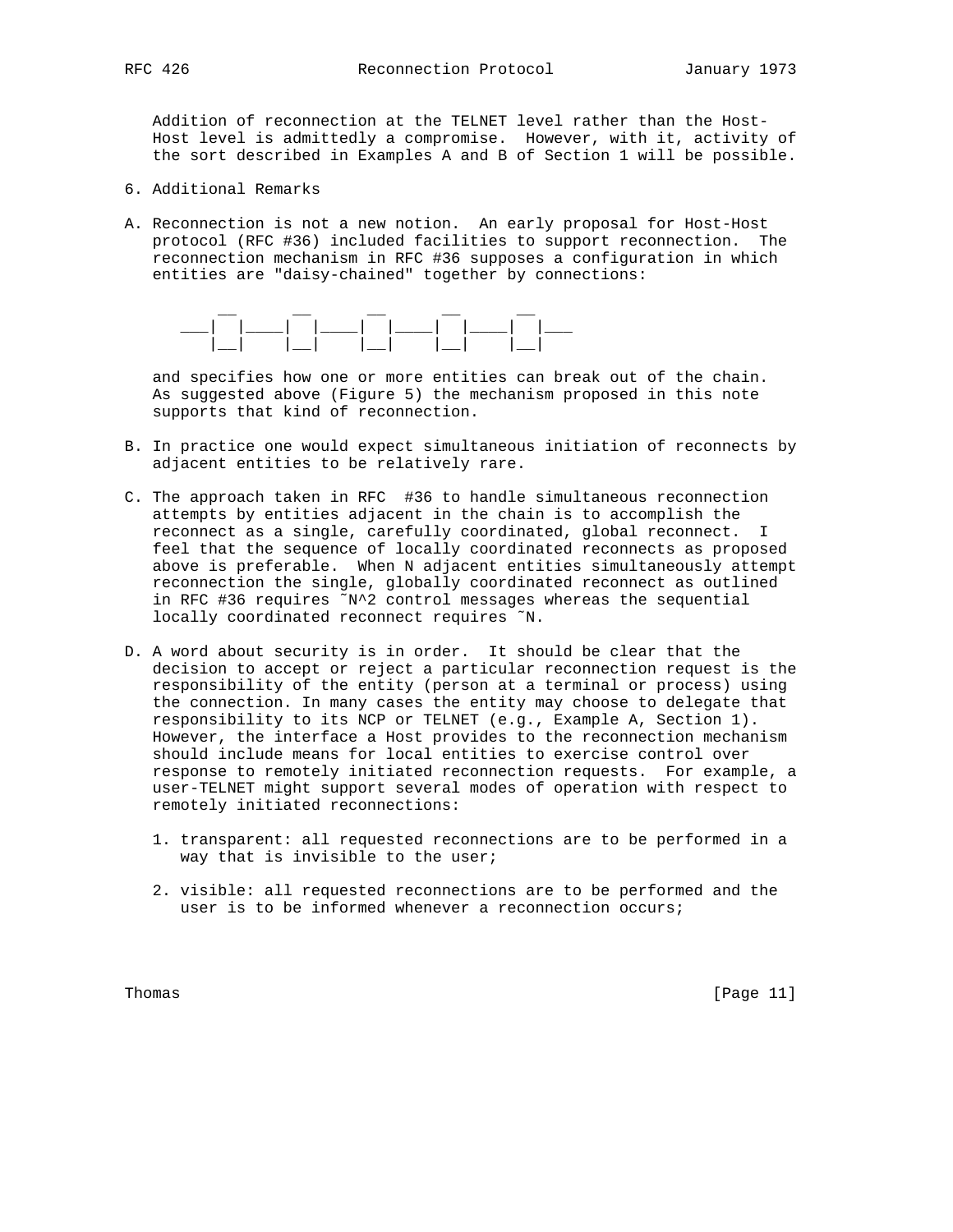Addition of reconnection at the TELNET level rather than the Host- Host level is admittedly a compromise. However, with it, activity of the sort described in Examples A and B of Section 1 will be possible.

- 6. Additional Remarks
- A. Reconnection is not a new notion. An early proposal for Host-Host protocol (RFC #36) included facilities to support reconnection. The reconnection mechanism in RFC #36 supposes a configuration in which entities are "daisy-chained" together by connections:



 and specifies how one or more entities can break out of the chain. As suggested above (Figure 5) the mechanism proposed in this note supports that kind of reconnection.

- B. In practice one would expect simultaneous initiation of reconnects by adjacent entities to be relatively rare.
- C. The approach taken in RFC #36 to handle simultaneous reconnection attempts by entities adjacent in the chain is to accomplish the reconnect as a single, carefully coordinated, global reconnect. I feel that the sequence of locally coordinated reconnects as proposed above is preferable. When N adjacent entities simultaneously attempt reconnection the single, globally coordinated reconnect as outlined in RFC #36 requires ˜N^2 control messages whereas the sequential locally coordinated reconnect requires ˜N.
- D. A word about security is in order. It should be clear that the decision to accept or reject a particular reconnection request is the responsibility of the entity (person at a terminal or process) using the connection. In many cases the entity may choose to delegate that responsibility to its NCP or TELNET (e.g., Example A, Section 1). However, the interface a Host provides to the reconnection mechanism should include means for local entities to exercise control over response to remotely initiated reconnection requests. For example, a user-TELNET might support several modes of operation with respect to remotely initiated reconnections:
	- 1. transparent: all requested reconnections are to be performed in a way that is invisible to the user;
	- 2. visible: all requested reconnections are to be performed and the user is to be informed whenever a reconnection occurs;

Thomas [Page 11]